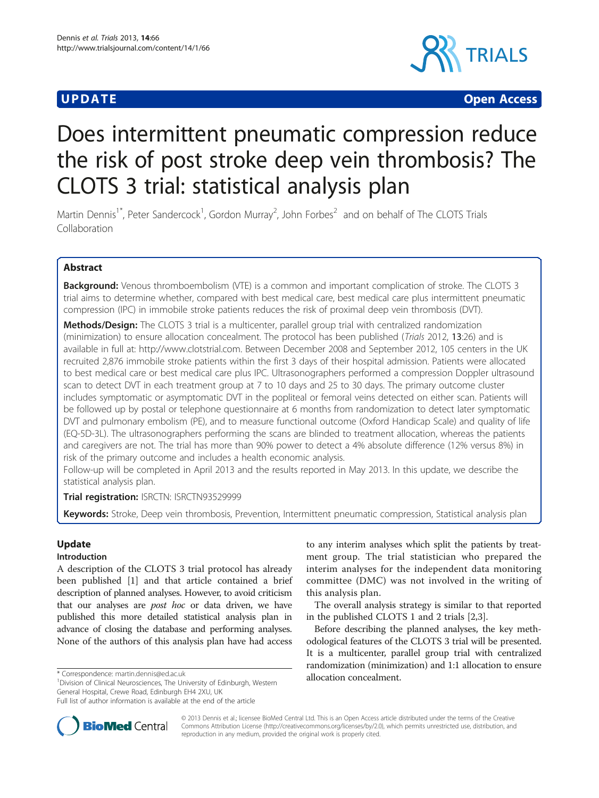

**UPDATE CONSIDERING CONSIDERING CONSIDERING CONSIDERING CONSIDERING CONSIDERING CONSIDERING CONSIDERING CONSIDERING CONSIDERING CONSIDERING CONSIDERING CONSIDERING CONSIDERING CONSIDERING CONSIDERING CONSIDERING CONSIDER** 

# Does intermittent pneumatic compression reduce the risk of post stroke deep vein thrombosis? The CLOTS 3 trial: statistical analysis plan

Martin Dennis<sup>1\*</sup>, Peter Sandercock<sup>1</sup>, Gordon Murray<sup>2</sup>, John Forbes<sup>2</sup> and on behalf of The CLOTS Trials Collaboration

# Abstract

Background: Venous thromboembolism (VTE) is a common and important complication of stroke. The CLOTS 3 trial aims to determine whether, compared with best medical care, best medical care plus intermittent pneumatic compression (IPC) in immobile stroke patients reduces the risk of proximal deep vein thrombosis (DVT).

Methods/Design: The CLOTS 3 trial is a multicenter, parallel group trial with centralized randomization (minimization) to ensure allocation concealment. The protocol has been published (Trials 2012, 13:26) and is available in full at:<http://www.clotstrial.com>. Between December 2008 and September 2012, 105 centers in the UK recruited 2,876 immobile stroke patients within the first 3 days of their hospital admission. Patients were allocated to best medical care or best medical care plus IPC. Ultrasonographers performed a compression Doppler ultrasound scan to detect DVT in each treatment group at 7 to 10 days and 25 to 30 days. The primary outcome cluster includes symptomatic or asymptomatic DVT in the popliteal or femoral veins detected on either scan. Patients will be followed up by postal or telephone questionnaire at 6 months from randomization to detect later symptomatic DVT and pulmonary embolism (PE), and to measure functional outcome (Oxford Handicap Scale) and quality of life (EQ-5D-3L). The ultrasonographers performing the scans are blinded to treatment allocation, whereas the patients and caregivers are not. The trial has more than 90% power to detect a 4% absolute difference (12% versus 8%) in risk of the primary outcome and includes a health economic analysis.

Follow-up will be completed in April 2013 and the results reported in May 2013. In this update, we describe the statistical analysis plan.

Trial registration: [ISRCTN: ISRCTN93529999](http://www.controlled-trials.com/ISRCTN93529999/)

Keywords: Stroke, Deep vein thrombosis, Prevention, Intermittent pneumatic compression, Statistical analysis plan

# Update

# Introduction

A description of the CLOTS 3 trial protocol has already been published [[1\]](#page-5-0) and that article contained a brief description of planned analyses. However, to avoid criticism that our analyses are *post hoc* or data driven, we have published this more detailed statistical analysis plan in advance of closing the database and performing analyses. None of the authors of this analysis plan have had access

\* Correspondence: [martin.dennis@ed.ac.uk](mailto:martin.dennis@ed.ac.uk)<br><sup>1</sup>Division of Clinical Neurosciences, The University of Edinburgh, Western **allocation concealment.** General Hospital, Crewe Road, Edinburgh EH4 2XU, UK

to any interim analyses which split the patients by treatment group. The trial statistician who prepared the interim analyses for the independent data monitoring committee (DMC) was not involved in the writing of this analysis plan.

The overall analysis strategy is similar to that reported in the published CLOTS 1 and 2 trials [\[2,3](#page-5-0)].

Before describing the planned analyses, the key methodological features of the CLOTS 3 trial will be presented. It is a multicenter, parallel group trial with centralized randomization (minimization) and 1:1 allocation to ensure



© 2013 Dennis et al.; licensee BioMed Central Ltd. This is an Open Access article distributed under the terms of the Creative Commons Attribution License [\(http://creativecommons.org/licenses/by/2.0\)](http://creativecommons.org/licenses/by/2.0), which permits unrestricted use, distribution, and reproduction in any medium, provided the original work is properly cited.

Full list of author information is available at the end of the article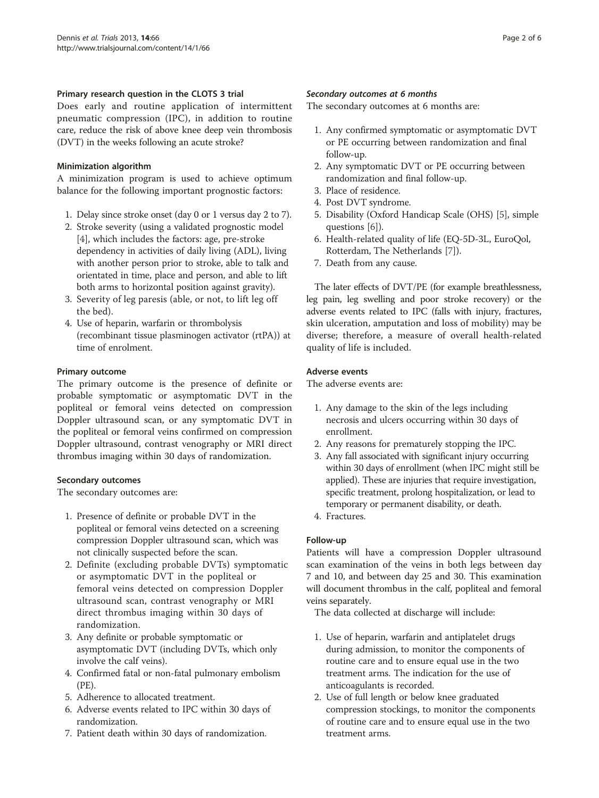# Primary research question in the CLOTS 3 trial

Does early and routine application of intermittent pneumatic compression (IPC), in addition to routine care, reduce the risk of above knee deep vein thrombosis (DVT) in the weeks following an acute stroke?

# Minimization algorithm

A minimization program is used to achieve optimum balance for the following important prognostic factors:

- 1. Delay since stroke onset (day 0 or 1 versus day 2 to 7).
- 2. Stroke severity (using a validated prognostic model [\[4](#page-5-0)], which includes the factors: age, pre-stroke dependency in activities of daily living (ADL), living with another person prior to stroke, able to talk and orientated in time, place and person, and able to lift both arms to horizontal position against gravity).
- 3. Severity of leg paresis (able, or not, to lift leg off the bed).
- 4. Use of heparin, warfarin or thrombolysis (recombinant tissue plasminogen activator (rtPA)) at time of enrolment.

# Primary outcome

The primary outcome is the presence of definite or probable symptomatic or asymptomatic DVT in the popliteal or femoral veins detected on compression Doppler ultrasound scan, or any symptomatic DVT in the popliteal or femoral veins confirmed on compression Doppler ultrasound, contrast venography or MRI direct thrombus imaging within 30 days of randomization.

# Secondary outcomes

The secondary outcomes are:

- 1. Presence of definite or probable DVT in the popliteal or femoral veins detected on a screening compression Doppler ultrasound scan, which was not clinically suspected before the scan.
- 2. Definite (excluding probable DVTs) symptomatic or asymptomatic DVT in the popliteal or femoral veins detected on compression Doppler ultrasound scan, contrast venography or MRI direct thrombus imaging within 30 days of randomization.
- 3. Any definite or probable symptomatic or asymptomatic DVT (including DVTs, which only involve the calf veins).
- 4. Confirmed fatal or non-fatal pulmonary embolism (PE).
- 5. Adherence to allocated treatment.
- 6. Adverse events related to IPC within 30 days of randomization.
- 7. Patient death within 30 days of randomization.

# Secondary outcomes at 6 months

The secondary outcomes at 6 months are:

- 1. Any confirmed symptomatic or asymptomatic DVT or PE occurring between randomization and final follow-up.
- 2. Any symptomatic DVT or PE occurring between randomization and final follow-up.
- 3. Place of residence.
- 4. Post DVT syndrome.
- 5. Disability (Oxford Handicap Scale (OHS) [[5\]](#page-5-0), simple questions [\[6](#page-5-0)]).
- 6. Health-related quality of life (EQ-5D-3L, EuroQol, Rotterdam, The Netherlands [[7](#page-5-0)]).
- 7. Death from any cause.

The later effects of DVT/PE (for example breathlessness, leg pain, leg swelling and poor stroke recovery) or the adverse events related to IPC (falls with injury, fractures, skin ulceration, amputation and loss of mobility) may be diverse; therefore, a measure of overall health-related quality of life is included.

# Adverse events

The adverse events are:

- 1. Any damage to the skin of the legs including necrosis and ulcers occurring within 30 days of enrollment.
- 2. Any reasons for prematurely stopping the IPC.
- 3. Any fall associated with significant injury occurring within 30 days of enrollment (when IPC might still be applied). These are injuries that require investigation, specific treatment, prolong hospitalization, or lead to temporary or permanent disability, or death.
- 4. Fractures.

# Follow-up

Patients will have a compression Doppler ultrasound scan examination of the veins in both legs between day 7 and 10, and between day 25 and 30. This examination will document thrombus in the calf, popliteal and femoral veins separately.

The data collected at discharge will include:

- 1. Use of heparin, warfarin and antiplatelet drugs during admission, to monitor the components of routine care and to ensure equal use in the two treatment arms. The indication for the use of anticoagulants is recorded.
- 2. Use of full length or below knee graduated compression stockings, to monitor the components of routine care and to ensure equal use in the two treatment arms.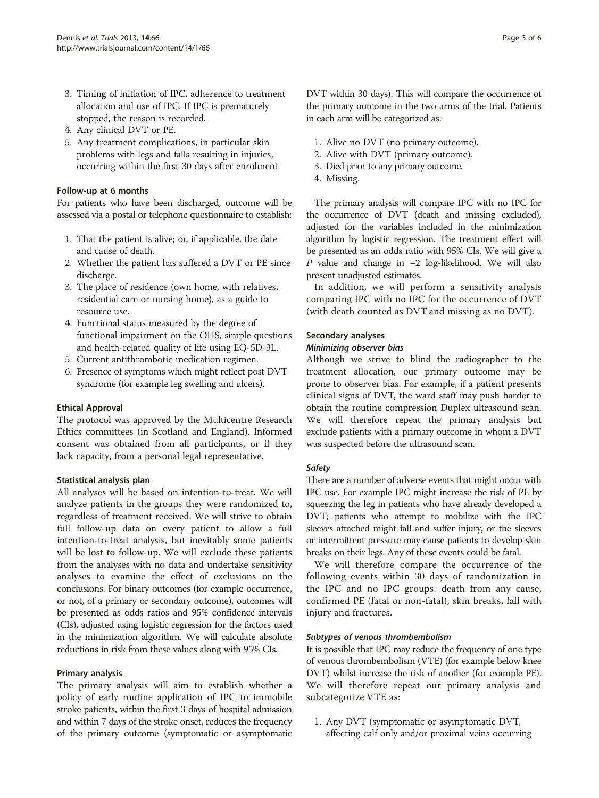- 3. Timing of initiation of IPC, adherence to treatment allocation and use of IPC. If IPC is prematurely stopped, the reason is recorded.
- 4. Any clinical DVT or PE.
- 5. Any treatment complications, in particular skin problems with legs and falls resulting in injuries, occurring within the first 30 days after enrolment.

# Follow-up at 6 months

For patients who have been discharged, outcome will be assessed via a postal or telephone questionnaire to establish:

- 1. That the patient is alive; or, if applicable, the date and cause of death.
- 2. Whether the patient has suffered a DVT or PE since discharge.
- 3. The place of residence (own home, with relatives, residential care or nursing home), as a guide to resource use.
- 4. Functional status measured by the degree of functional impairment on the OHS, simple questions and health-related quality of life using EQ-5D-3L.
- 5. Current antithrombotic medication regimen.
- 6. Presence of symptoms which might reflect post DVT syndrome (for example leg swelling and ulcers).

# Ethical Approval

The protocol was approved by the Multicentre Research Ethics committees (in Scotland and England). Informed consent was obtained from all participants, or if they lack capacity, from a personal legal representative.

# Statistical analysis plan

All analyses will be based on intention-to-treat. We will analyze patients in the groups they were randomized to, regardless of treatment received. We will strive to obtain full follow-up data on every patient to allow a full intention-to-treat analysis, but inevitably some patients will be lost to follow-up. We will exclude these patients from the analyses with no data and undertake sensitivity analyses to examine the effect of exclusions on the conclusions. For binary outcomes (for example occurrence, or not, of a primary or secondary outcome), outcomes will be presented as odds ratios and 95% confidence intervals (CIs), adjusted using logistic regression for the factors used in the minimization algorithm. We will calculate absolute reductions in risk from these values along with 95% CIs.

# Primary analysis

The primary analysis will aim to establish whether a policy of early routine application of IPC to immobile stroke patients, within the first 3 days of hospital admission and within 7 days of the stroke onset, reduces the frequency of the primary outcome (symptomatic or asymptomatic DVT within 30 days). This will compare the occurrence of the primary outcome in the two arms of the trial. Patients in each arm will be categorized as:

- 1. Alive no DVT (no primary outcome).
- 2. Alive with DVT (primary outcome).
- 3. Died prior to any primary outcome.
- 4. Missing.

The primary analysis will compare IPC with no IPC for the occurrence of DVT (death and missing excluded), adjusted for the variables included in the minimization algorithm by logistic regression. The treatment effect will be presented as an odds ratio with 95% CIs. We will give a P value and change in −2 log-likelihood. We will also present unadjusted estimates.

In addition, we will perform a sensitivity analysis comparing IPC with no IPC for the occurrence of DVT (with death counted as DVT and missing as no DVT).

# Secondary analyses

# Minimizing observer bias

Although we strive to blind the radiographer to the treatment allocation, our primary outcome may be prone to observer bias. For example, if a patient presents clinical signs of DVT, the ward staff may push harder to obtain the routine compression Duplex ultrasound scan. We will therefore repeat the primary analysis but exclude patients with a primary outcome in whom a DVT was suspected before the ultrasound scan.

# Safety

There are a number of adverse events that might occur with IPC use. For example IPC might increase the risk of PE by squeezing the leg in patients who have already developed a DVT; patients who attempt to mobilize with the IPC sleeves attached might fall and suffer injury; or the sleeves or intermittent pressure may cause patients to develop skin breaks on their legs. Any of these events could be fatal.

We will therefore compare the occurrence of the following events within 30 days of randomization in the IPC and no IPC groups: death from any cause, confirmed PE (fatal or non-fatal), skin breaks, fall with injury and fractures.

# Subtypes of venous thrombembolism

It is possible that IPC may reduce the frequency of one type of venous thrombembolism (VTE) (for example below knee DVT) whilst increase the risk of another (for example PE). We will therefore repeat our primary analysis and subcategorize VTE as:

1. Any DVT (symptomatic or asymptomatic DVT, affecting calf only and/or proximal veins occurring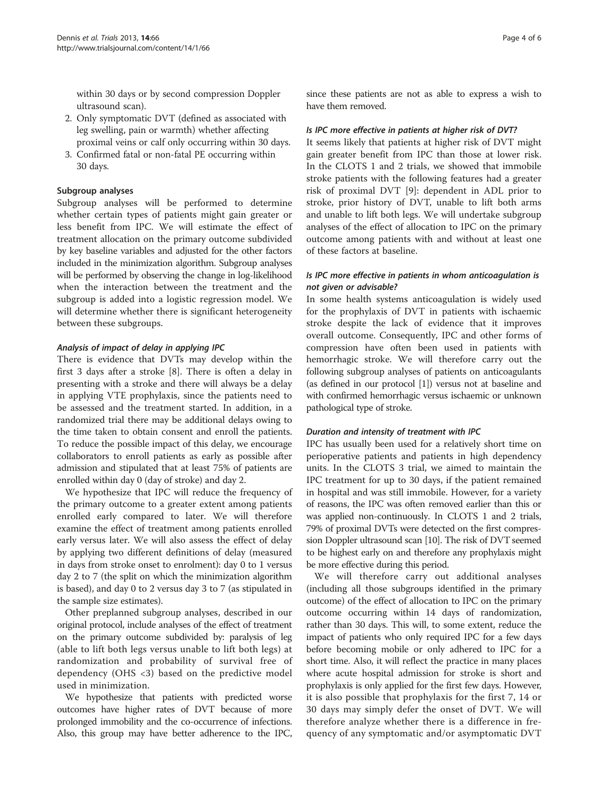within 30 days or by second compression Doppler ultrasound scan).

- 2. Only symptomatic DVT (defined as associated with leg swelling, pain or warmth) whether affecting proximal veins or calf only occurring within 30 days.
- 3. Confirmed fatal or non-fatal PE occurring within 30 days.

### Subgroup analyses

Subgroup analyses will be performed to determine whether certain types of patients might gain greater or less benefit from IPC. We will estimate the effect of treatment allocation on the primary outcome subdivided by key baseline variables and adjusted for the other factors included in the minimization algorithm. Subgroup analyses will be performed by observing the change in log-likelihood when the interaction between the treatment and the subgroup is added into a logistic regression model. We will determine whether there is significant heterogeneity between these subgroups.

# Analysis of impact of delay in applying IPC

There is evidence that DVTs may develop within the first 3 days after a stroke [\[8\]](#page-5-0). There is often a delay in presenting with a stroke and there will always be a delay in applying VTE prophylaxis, since the patients need to be assessed and the treatment started. In addition, in a randomized trial there may be additional delays owing to the time taken to obtain consent and enroll the patients. To reduce the possible impact of this delay, we encourage collaborators to enroll patients as early as possible after admission and stipulated that at least 75% of patients are enrolled within day 0 (day of stroke) and day 2.

We hypothesize that IPC will reduce the frequency of the primary outcome to a greater extent among patients enrolled early compared to later. We will therefore examine the effect of treatment among patients enrolled early versus later. We will also assess the effect of delay by applying two different definitions of delay (measured in days from stroke onset to enrolment): day 0 to 1 versus day 2 to 7 (the split on which the minimization algorithm is based), and day 0 to 2 versus day 3 to 7 (as stipulated in the sample size estimates).

Other preplanned subgroup analyses, described in our original protocol, include analyses of the effect of treatment on the primary outcome subdivided by: paralysis of leg (able to lift both legs versus unable to lift both legs) at randomization and probability of survival free of dependency (OHS <3) based on the predictive model used in minimization.

We hypothesize that patients with predicted worse outcomes have higher rates of DVT because of more prolonged immobility and the co-occurrence of infections. Also, this group may have better adherence to the IPC,

since these patients are not as able to express a wish to have them removed.

# Is IPC more effective in patients at higher risk of DVT?

It seems likely that patients at higher risk of DVT might gain greater benefit from IPC than those at lower risk. In the CLOTS 1 and 2 trials, we showed that immobile stroke patients with the following features had a greater risk of proximal DVT [\[9](#page-5-0)]: dependent in ADL prior to stroke, prior history of DVT, unable to lift both arms and unable to lift both legs. We will undertake subgroup analyses of the effect of allocation to IPC on the primary outcome among patients with and without at least one of these factors at baseline.

# Is IPC more effective in patients in whom anticoagulation is not given or advisable?

In some health systems anticoagulation is widely used for the prophylaxis of DVT in patients with ischaemic stroke despite the lack of evidence that it improves overall outcome. Consequently, IPC and other forms of compression have often been used in patients with hemorrhagic stroke. We will therefore carry out the following subgroup analyses of patients on anticoagulants (as defined in our protocol [\[1](#page-5-0)]) versus not at baseline and with confirmed hemorrhagic versus ischaemic or unknown pathological type of stroke.

# Duration and intensity of treatment with IPC

IPC has usually been used for a relatively short time on perioperative patients and patients in high dependency units. In the CLOTS 3 trial, we aimed to maintain the IPC treatment for up to 30 days, if the patient remained in hospital and was still immobile. However, for a variety of reasons, the IPC was often removed earlier than this or was applied non-continuously. In CLOTS 1 and 2 trials, 79% of proximal DVTs were detected on the first compression Doppler ultrasound scan [\[10\]](#page-5-0). The risk of DVT seemed to be highest early on and therefore any prophylaxis might be more effective during this period.

We will therefore carry out additional analyses (including all those subgroups identified in the primary outcome) of the effect of allocation to IPC on the primary outcome occurring within 14 days of randomization, rather than 30 days. This will, to some extent, reduce the impact of patients who only required IPC for a few days before becoming mobile or only adhered to IPC for a short time. Also, it will reflect the practice in many places where acute hospital admission for stroke is short and prophylaxis is only applied for the first few days. However, it is also possible that prophylaxis for the first 7, 14 or 30 days may simply defer the onset of DVT. We will therefore analyze whether there is a difference in frequency of any symptomatic and/or asymptomatic DVT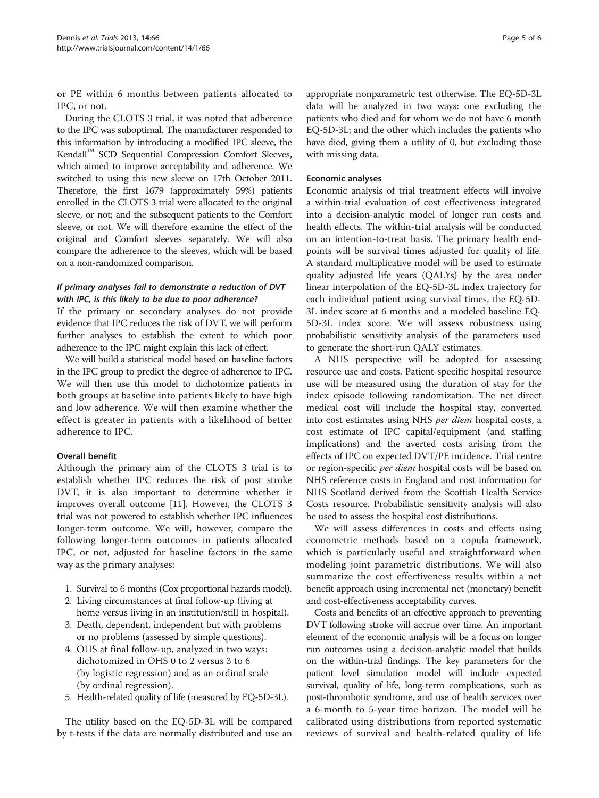or PE within 6 months between patients allocated to IPC, or not.

During the CLOTS 3 trial, it was noted that adherence to the IPC was suboptimal. The manufacturer responded to this information by introducing a modified IPC sleeve, the Kendall<sup>™</sup> SCD Sequential Compression Comfort Sleeves, which aimed to improve acceptability and adherence. We switched to using this new sleeve on 17th October 2011. Therefore, the first 1679 (approximately 59%) patients enrolled in the CLOTS 3 trial were allocated to the original sleeve, or not; and the subsequent patients to the Comfort sleeve, or not. We will therefore examine the effect of the original and Comfort sleeves separately. We will also compare the adherence to the sleeves, which will be based on a non-randomized comparison.

# If primary analyses fail to demonstrate a reduction of DVT with IPC, is this likely to be due to poor adherence?

If the primary or secondary analyses do not provide evidence that IPC reduces the risk of DVT, we will perform further analyses to establish the extent to which poor adherence to the IPC might explain this lack of effect.

We will build a statistical model based on baseline factors in the IPC group to predict the degree of adherence to IPC. We will then use this model to dichotomize patients in both groups at baseline into patients likely to have high and low adherence. We will then examine whether the effect is greater in patients with a likelihood of better adherence to IPC.

# Overall benefit

Although the primary aim of the CLOTS 3 trial is to establish whether IPC reduces the risk of post stroke DVT, it is also important to determine whether it improves overall outcome [11]. However, the CLOTS 3 trial was not powered to establish whether IPC influences longer-term outcome. We will, however, compare the following longer-term outcomes in patients allocated IPC, or not, adjusted for baseline factors in the same way as the primary analyses:

- 1. Survival to 6 months (Cox proportional hazards model).
- 2. Living circumstances at final follow-up (living at home versus living in an institution/still in hospital).
- 3. Death, dependent, independent but with problems or no problems (assessed by simple questions).
- 4. OHS at final follow-up, analyzed in two ways: dichotomized in OHS 0 to 2 versus 3 to 6 (by logistic regression) and as an ordinal scale (by ordinal regression).
- 5. Health-related quality of life (measured by EQ-5D-3L).

The utility based on the EQ-5D-3L will be compared by t-tests if the data are normally distributed and use an appropriate nonparametric test otherwise. The EQ-5D-3L data will be analyzed in two ways: one excluding the patients who died and for whom we do not have 6 month EQ-5D-3L; and the other which includes the patients who have died, giving them a utility of 0, but excluding those with missing data.

### Economic analyses

Economic analysis of trial treatment effects will involve a within-trial evaluation of cost effectiveness integrated into a decision-analytic model of longer run costs and health effects. The within-trial analysis will be conducted on an intention-to-treat basis. The primary health endpoints will be survival times adjusted for quality of life. A standard multiplicative model will be used to estimate quality adjusted life years (QALYs) by the area under linear interpolation of the EQ-5D-3L index trajectory for each individual patient using survival times, the EQ-5D-3L index score at 6 months and a modeled baseline EQ-5D-3L index score. We will assess robustness using probabilistic sensitivity analysis of the parameters used to generate the short-run QALY estimates.

A NHS perspective will be adopted for assessing resource use and costs. Patient-specific hospital resource use will be measured using the duration of stay for the index episode following randomization. The net direct medical cost will include the hospital stay, converted into cost estimates using NHS per diem hospital costs, a cost estimate of IPC capital/equipment (and staffing implications) and the averted costs arising from the effects of IPC on expected DVT/PE incidence. Trial centre or region-specific per diem hospital costs will be based on NHS reference costs in England and cost information for NHS Scotland derived from the Scottish Health Service Costs resource. Probabilistic sensitivity analysis will also be used to assess the hospital cost distributions.

We will assess differences in costs and effects using econometric methods based on a copula framework, which is particularly useful and straightforward when modeling joint parametric distributions. We will also summarize the cost effectiveness results within a net benefit approach using incremental net (monetary) benefit and cost-effectiveness acceptability curves.

Costs and benefits of an effective approach to preventing DVT following stroke will accrue over time. An important element of the economic analysis will be a focus on longer run outcomes using a decision-analytic model that builds on the within-trial findings. The key parameters for the patient level simulation model will include expected survival, quality of life, long-term complications, such as post-thrombotic syndrome, and use of health services over a 6-month to 5-year time horizon. The model will be calibrated using distributions from reported systematic reviews of survival and health-related quality of life